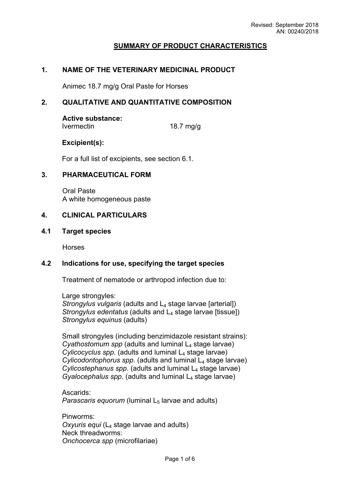## **SUMMARY OF PRODUCT CHARACTERISTICS**

#### **1. NAME OF THE VETERINARY MEDICINAL PRODUCT**

Animec 18.7 mg/g Oral Paste for Horses

### **2. QUALITATIVE AND QUANTITATIVE COMPOSITION**

## **Active substance:**

Ivermectin 18.7 mg/g

#### **Excipient(s):**

For a full list of excipients, see section 6.1.

#### **3. PHARMACEUTICAL FORM**

Oral Paste A white homogeneous paste

## **4. CLINICAL PARTICULARS**

#### **4.1 Target species**

Horses

### **4.2 Indications for use, specifying the target species**

Treatment of nematode or arthropod infection due to:

Large strongyles: *Strongylus vulgaris* (adults and L<sub>4</sub> stage larvae [arterial]) *Strongylus edentatus* (adults and L<sub>4</sub> stage larvae [tissue]) *Strongylus equinus* (adults)

Small strongyles (including benzimidazole resistant strains): *Cyathostomum spp* (adults and luminal L<sub>4</sub> stage larvae) *Cylicocyclus spp.* (adults and luminal L<sub>4</sub> stage larvae) *Cylicodontophorus spp.* (adults and luminal L<sub>4</sub> stage larvae) *Cylicostephanus spp*. (adults and luminal L4 stage larvae) *Gyalocephalus spp.* (adults and luminal L<sub>4</sub> stage larvae)

Ascarids: *Parascaris equorum* (luminal L<sub>5</sub> larvae and adults)

Pinworms: *Oxyuris equi* (L4 stage larvae and adults) Neck threadworms: *Onchocerca spp* (microfilariae)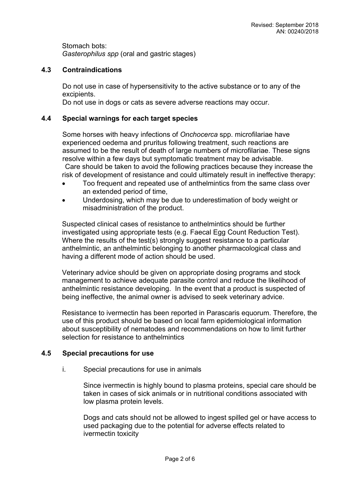Stomach bots: *Gasterophilus spp* (oral and gastric stages)

# **4.3 Contraindications**

Do not use in case of hypersensitivity to the active substance or to any of the excipients.

Do not use in dogs or cats as severe adverse reactions may occur.

## **4.4 Special warnings for each target species**

Some horses with heavy infections of *Onchocerca* spp. microfilariae have experienced oedema and pruritus following treatment, such reactions are assumed to be the result of death of large numbers of microfilariae. These signs resolve within a few days but symptomatic treatment may be advisable. Care should be taken to avoid the following practices because they increase the

risk of development of resistance and could ultimately result in ineffective therapy:

- Too frequent and repeated use of anthelmintics from the same class over an extended period of time,
- Underdosing, which may be due to underestimation of body weight or misadministration of the product.

Suspected clinical cases of resistance to anthelmintics should be further investigated using appropriate tests (e.g. Faecal Egg Count Reduction Test). Where the results of the test(s) strongly suggest resistance to a particular anthelmintic, an anthelmintic belonging to another pharmacological class and having a different mode of action should be used.

Veterinary advice should be given on appropriate dosing programs and stock management to achieve adequate parasite control and reduce the likelihood of anthelmintic resistance developing. In the event that a product is suspected of being ineffective, the animal owner is advised to seek veterinary advice.

Resistance to ivermectin has been reported in Parascaris equorum. Therefore, the use of this product should be based on local farm epidemiological information about susceptibility of nematodes and recommendations on how to limit further selection for resistance to anthelmintics

### **4.5 Special precautions for use**

i. Special precautions for use in animals

Since ivermectin is highly bound to plasma proteins, special care should be taken in cases of sick animals or in nutritional conditions associated with low plasma protein levels.

Dogs and cats should not be allowed to ingest spilled gel or have access to used packaging due to the potential for adverse effects related to ivermectin toxicity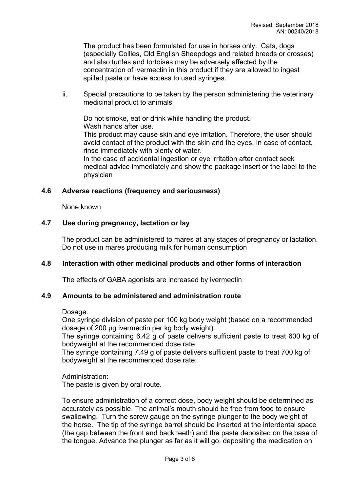The product has been formulated for use in horses only. Cats, dogs (especially Collies, Old English Sheepdogs and related breeds or crosses) and also turtles and tortoises may be adversely affected by the concentration of ivermectin in this product if they are allowed to ingest spilled paste or have access to used syringes.

ii. Special precautions to be taken by the person administering the veterinary medicinal product to animals

Do not smoke, eat or drink while handling the product. Wash hands after use.

This product may cause skin and eye irritation. Therefore, the user should avoid contact of the product with the skin and the eyes. In case of contact, rinse immediately with plenty of water.

In the case of accidental ingestion or eye irritation after contact seek medical advice immediately and show the package insert or the label to the physician

## **4.6 Adverse reactions (frequency and seriousness)**

None known

## **4.7 Use during pregnancy, lactation or lay**

The product can be administered to mares at any stages of pregnancy or lactation. Do not use in mares producing milk for human consumption

# **4.8 Interaction with other medicinal products and other forms of interaction**

The effects of GABA agonists are increased by ivermectin

# **4.9 Amounts to be administered and administration route**

Dosage:

One syringe division of paste per 100 kg body weight (based on a recommended dosage of 200 μg ivermectin per kg body weight).

The syringe containing 6.42 g of paste delivers sufficient paste to treat 600 kg of bodyweight at the recommended dose rate.

The syringe containing 7.49 g of paste delivers sufficient paste to treat 700 kg of bodyweight at the recommended dose rate.

Administration: The paste is given by oral route.

To ensure administration of a correct dose, body weight should be determined as accurately as possible. The animal's mouth should be free from food to ensure swallowing. Turn the screw gauge on the syringe plunger to the body weight of the horse. The tip of the syringe barrel should be inserted at the interdental space (the gap between the front and back teeth) and the paste deposited on the base of the tongue. Advance the plunger as far as it will go, depositing the medication on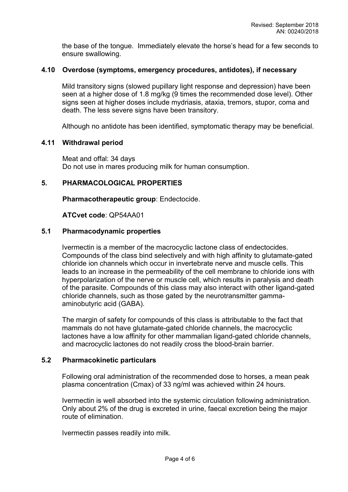the base of the tongue. Immediately elevate the horse's head for a few seconds to ensure swallowing.

#### **4.10 Overdose (symptoms, emergency procedures, antidotes), if necessary**

Mild transitory signs (slowed pupillary light response and depression) have been seen at a higher dose of 1.8 mg/kg (9 times the recommended dose level). Other signs seen at higher doses include mydriasis, ataxia, tremors, stupor, coma and death. The less severe signs have been transitory.

Although no antidote has been identified, symptomatic therapy may be beneficial.

#### **4.11 Withdrawal period**

Meat and offal: 34 days Do not use in mares producing milk for human consumption.

#### **5. PHARMACOLOGICAL PROPERTIES**

**Pharmacotherapeutic group**: Endectocide.

#### **ATCvet code**: QP54AA01

#### **5.1 Pharmacodynamic properties**

Ivermectin is a member of the macrocyclic lactone class of endectocides. Compounds of the class bind selectively and with high affinity to glutamate-gated chloride ion channels which occur in invertebrate nerve and muscle cells. This leads to an increase in the permeability of the cell membrane to chloride ions with hyperpolarization of the nerve or muscle cell, which results in paralysis and death of the parasite. Compounds of this class may also interact with other ligand-gated chloride channels, such as those gated by the neurotransmitter gammaaminobutyric acid (GABA).

The margin of safety for compounds of this class is attributable to the fact that mammals do not have glutamate-gated chloride channels, the macrocyclic lactones have a low affinity for other mammalian ligand-gated chloride channels, and macrocyclic lactones do not readily cross the blood-brain barrier.

#### **5.2 Pharmacokinetic particulars**

Following oral administration of the recommended dose to horses, a mean peak plasma concentration (Cmax) of 33 ng/ml was achieved within 24 hours.

Ivermectin is well absorbed into the systemic circulation following administration. Only about 2% of the drug is excreted in urine, faecal excretion being the major route of elimination.

Ivermectin passes readily into milk.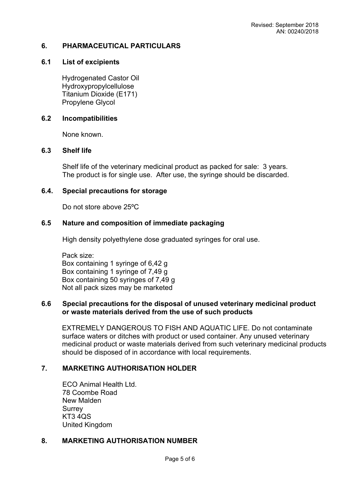## **6. PHARMACEUTICAL PARTICULARS**

## **6.1 List of excipients**

Hydrogenated Castor Oil Hydroxypropylcellulose Titanium Dioxide (E171) Propylene Glycol

### **6.2 Incompatibilities**

None known.

#### **6.3 Shelf life**

Shelf life of the veterinary medicinal product as packed for sale: 3 years. The product is for single use. After use, the syringe should be discarded.

### **6.4. Special precautions for storage**

Do not store above 25ºC

## **6.5 Nature and composition of immediate packaging**

High density polyethylene dose graduated syringes for oral use.

Pack size: Box containing 1 syringe of 6,42 g Box containing 1 syringe of 7,49 g Box containing 50 syringes of 7,49 g Not all pack sizes may be marketed

#### **6.6 Special precautions for the disposal of unused veterinary medicinal product or waste materials derived from the use of such products**

EXTREMELY DANGEROUS TO FISH AND AQUATIC LIFE. Do not contaminate surface waters or ditches with product or used container. Any unused veterinary medicinal product or waste materials derived from such veterinary medicinal products should be disposed of in accordance with local requirements.

## **7. MARKETING AUTHORISATION HOLDER**

ECO Animal Health Ltd. 78 Coombe Road New Malden **Surrey** KT3 4QS United Kingdom

#### **8. MARKETING AUTHORISATION NUMBER**